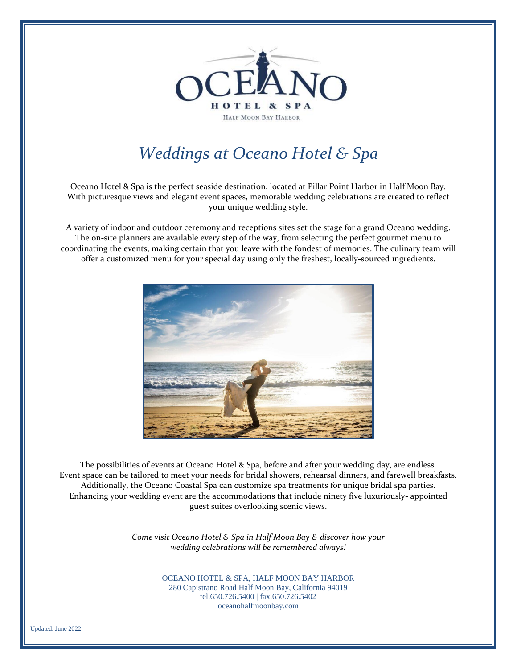

# *Weddings at Oceano Hotel & Spa*

Oceano Hotel & Spa is the perfect seaside destination, located at Pillar Point Harbor in Half Moon Bay. With picturesque views and elegant event spaces, memorable wedding celebrations are created to reflect your unique wedding style.

A variety of indoor and outdoor ceremony and receptions sites set the stage for a grand Oceano wedding. The on-site planners are available every step of the way, from selecting the perfect gourmet menu to coordinating the events, making certain that you leave with the fondest of memories. The culinary team will offer a customized menu for your special day using only the freshest, locally-sourced ingredients.



The possibilities of events at Oceano Hotel & Spa, before and after your wedding day, are endless. Event space can be tailored to meet your needs for bridal showers, rehearsal dinners, and farewell breakfasts. Additionally, the Oceano Coastal Spa can customize spa treatments for unique bridal spa parties. Enhancing your wedding event are the accommodations that include ninety five luxuriously- appointed guest suites overlooking scenic views.

> *Come visit Oceano Hotel & Spa in Half Moon Bay & discover how your wedding celebrations will be remembered always!*

> > OCEANO HOTEL & SPA, HALF MOON BAY HARBOR 280 Capistrano Road Half Moon Bay, California 94019 tel.650.726.5400 | fax.650.726.5402 oceanohalfmoonbay.com

Updated: June 2022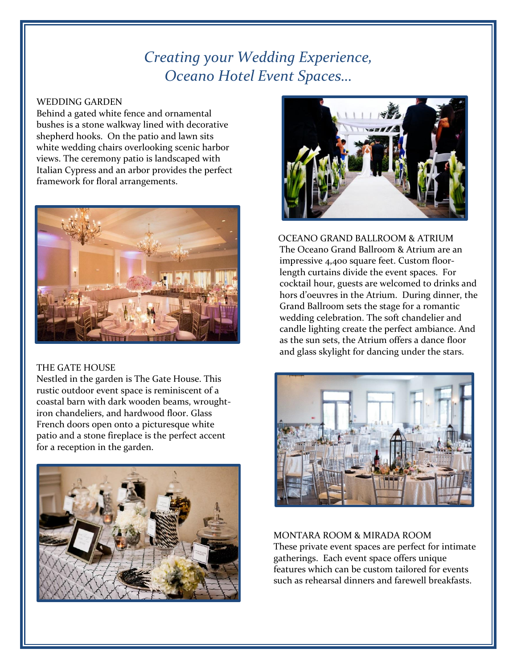# *Creating your Wedding Experience, Oceano Hotel Event Spaces…*

## WEDDING GARDEN

Behind a gated white fence and ornamental bushes is a stone walkway lined with decorative shepherd hooks. On the patio and lawn sits white wedding chairs overlooking scenic harbor views. The ceremony patio is landscaped with Italian Cypress and an arbor provides the perfect framework for floral arrangements.



## THE GATE HOUSE

Nestled in the garden is The Gate House. This rustic outdoor event space is reminiscent of a coastal barn with dark wooden beams, wroughtiron chandeliers, and hardwood floor. Glass French doors open onto a picturesque white patio and a stone fireplace is the perfect accent for a reception in the garden.





 OCEANO GRAND BALLROOM & ATRIUM The Oceano Grand Ballroom & Atrium are an impressive 4,400 square feet. Custom floorlength curtains divide the event spaces. For cocktail hour, guests are welcomed to drinks and hors d'oeuvres in the Atrium. During dinner, the Grand Ballroom sets the stage for a romantic wedding celebration. The soft chandelier and candle lighting create the perfect ambiance. And as the sun sets, the Atrium offers a dance floor and glass skylight for dancing under the stars.



MONTARA ROOM & MIRADA ROOM These private event spaces are perfect for intimate gatherings. Each event space offers unique features which can be custom tailored for events such as rehearsal dinners and farewell breakfasts.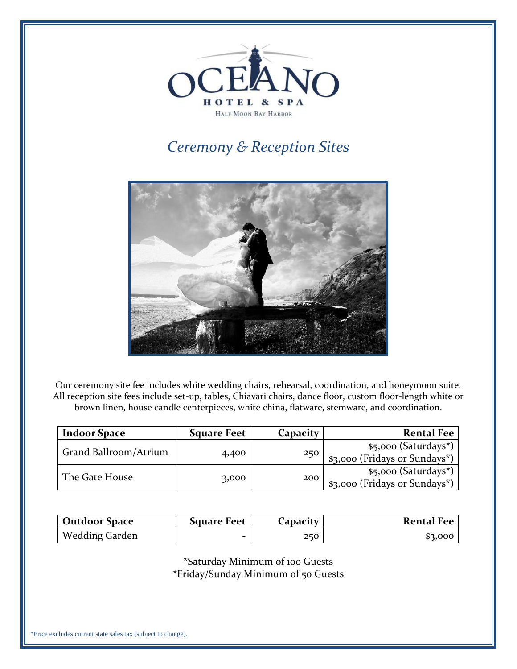

# *Ceremony & Reception Sites*



Our ceremony site fee includes white wedding chairs, rehearsal, coordination, and honeymoon suite. All reception site fees include set-up, tables, Chiavari chairs, dance floor, custom floor-length white or brown linen, house candle centerpieces, white china, flatware, stemware, and coordination.

| <b>Indoor Space</b>   | <b>Square Feet</b> | Capacity             | <b>Rental Fee</b>             |
|-----------------------|--------------------|----------------------|-------------------------------|
| Grand Ballroom/Atrium |                    | 250                  | \$5,000 (Saturdays*)          |
|                       | 4,400              |                      | \$3,000 (Fridays or Sundays*) |
|                       |                    | \$5,000 (Saturdays*) |                               |
| The Gate House        |                    | 3,000<br>200         | \$3,000 (Fridays or Sundays*) |

| <b>Outdoor Space</b> | <b>Square Feet</b> | Capacity | <b>Rental Fee</b> |
|----------------------|--------------------|----------|-------------------|
| Wedding Garden       | -                  | 250      | \$3,000           |

\*Saturday Minimum of 100 Guests \*Friday/Sunday Minimum of 50 Guests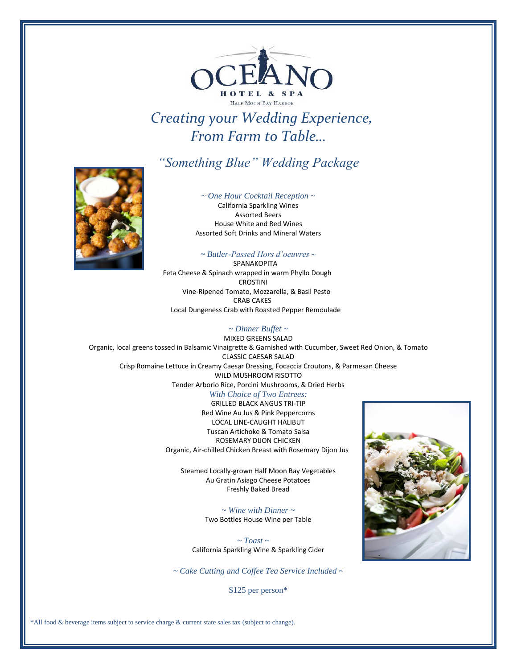

# *Creating your Wedding Experience, From Farm to Table…*

## *"Something Blue" Wedding Package*



*~ One Hour Cocktail Reception ~*

California Sparkling Wines Assorted Beers House White and Red Wines Assorted Soft Drinks and Mineral Waters

### *~ Butler-Passed Hors d'oeuvres ~*

 SPANAKOPITA Feta Cheese & Spinach wrapped in warm Phyllo Dough CROSTINI Vine-Ripened Tomato, Mozzarella, & Basil Pesto CRAB CAKES Local Dungeness Crab with Roasted Pepper Remoulade

*~ Dinner Buffet ~* MIXED GREENS SALAD Organic, local greens tossed in Balsamic Vinaigrette & Garnished with Cucumber, Sweet Red Onion, & Tomato CLASSIC CAESAR SALAD

Crisp Romaine Lettuce in Creamy Caesar Dressing, Focaccia Croutons, & Parmesan Cheese WILD MUSHROOM RISOTTO Tender Arborio Rice, Porcini Mushrooms, & Dried Herbs

#### *With Choice of Two Entrees:*

GRILLED BLACK ANGUS TRI-TIP Red Wine Au Jus & Pink Peppercorns LOCAL LINE-CAUGHT HALIBUT Tuscan Artichoke & Tomato Salsa ROSEMARY DIJON CHICKEN Organic, Air-chilled Chicken Breast with Rosemary Dijon Jus

Steamed Locally-grown Half Moon Bay Vegetables Au Gratin Asiago Cheese Potatoes Freshly Baked Bread

> *~ Wine with Dinner ~* Two Bottles House Wine per Table

 *~ Toast ~* California Sparkling Wine & Sparkling Cider

*~ Cake Cutting and Coffee Tea Service Included ~*

\$125 per person\*

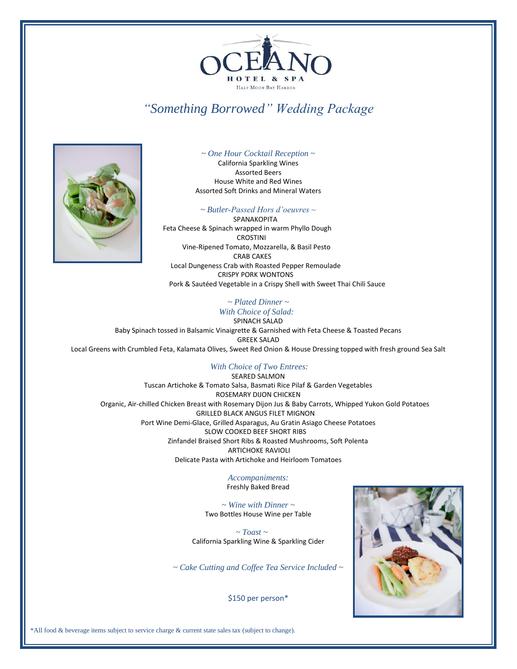

# *"Something Borrowed" Wedding Package*



*~ One Hour Cocktail Reception ~* California Sparkling Wines Assorted Beers House White and Red Wines Assorted Soft Drinks and Mineral Waters

### *~ Butler-Passed Hors d'oeuvres ~*

 SPANAKOPITA Feta Cheese & Spinach wrapped in warm Phyllo Dough CROSTINI Vine-Ripened Tomato, Mozzarella, & Basil Pesto CRAB CAKES Local Dungeness Crab with Roasted Pepper Remoulade CRISPY PORK WONTONS Pork & Sautéed Vegetable in a Crispy Shell with Sweet Thai Chili Sauce

## *~ Plated Dinner ~*

 *With Choice of Salad:* SPINACH SALAD

Baby Spinach tossed in Balsamic Vinaigrette & Garnished with Feta Cheese & Toasted Pecans GREEK SALAD Local Greens with Crumbled Feta, Kalamata Olives, Sweet Red Onion & House Dressing topped with fresh ground Sea Salt

### *With Choice of Two Entrees:*

SEARED SALMON Tuscan Artichoke & Tomato Salsa, Basmati Rice Pilaf & Garden Vegetables ROSEMARY DIJON CHICKEN Organic, Air-chilled Chicken Breast with Rosemary Dijon Jus & Baby Carrots, Whipped Yukon Gold Potatoes GRILLED BLACK ANGUS FILET MIGNON Port Wine Demi-Glace, Grilled Asparagus, Au Gratin Asiago Cheese Potatoes SLOW COOKED BEEF SHORT RIBS Zinfandel Braised Short Ribs & Roasted Mushrooms, Soft Polenta ARTICHOKE RAVIOLI Delicate Pasta with Artichoke and Heirloom Tomatoes

> *Accompaniments:* Freshly Baked Bread

*~ Wine with Dinner ~* Two Bottles House Wine per Table

 *~ Toast ~* California Sparkling Wine & Sparkling Cider

*~ Cake Cutting and Coffee Tea Service Included ~* 



\$150 per person\*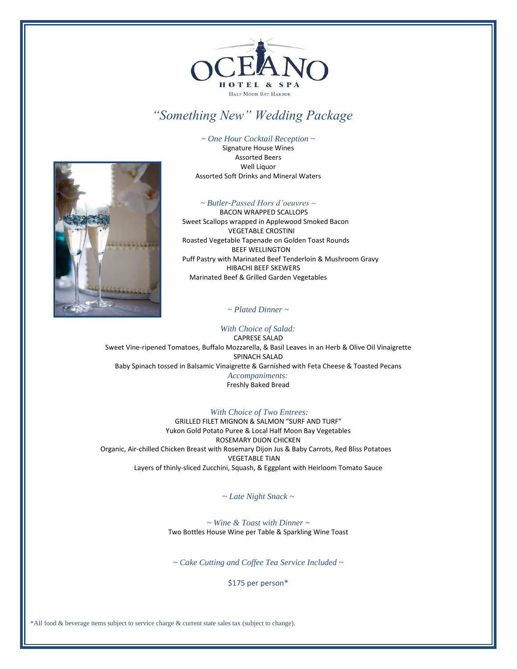

# *"Something New" Wedding Package*

*~ One Hour Cocktail Reception ~* Signature House Wines Assorted Beers Well Liquor Assorted Soft Drinks and Mineral Waters

#### *~ Butler-Passed Hors d'oeuvres ~*

 BACON WRAPPED SCALLOPS Sweet Scallops wrapped in Applewood Smoked Bacon VEGETABLE CROSTINI Roasted Vegetable Tapenade on Golden Toast Rounds BEEF WELLINGTON Puff Pastry with Marinated Beef Tenderloin & Mushroom Gravy HIBACHI BEEF SKEWERS Marinated Beef & Grilled Garden Vegetables

*~ Plated Dinner ~*

#### *With Choice of Salad:*

CAPRESE SALAD Sweet Vine-ripened Tomatoes, Buffalo Mozzarella, & Basil Leaves in an Herb & Olive Oil Vinaigrette SPINACH SALAD Baby Spinach tossed in Balsamic Vinaigrette & Garnished with Feta Cheese & Toasted Pecans  *Accompaniments:* Freshly Baked Bread

#### *With Choice of Two Entrees:*

GRILLED FILET MIGNON & SALMON "SURF AND TURF" Yukon Gold Potato Puree & Local Half Moon Bay Vegetables ROSEMARY DIJON CHICKEN Organic, Air-chilled Chicken Breast with Rosemary Dijon Jus & Baby Carrots, Red Bliss Potatoes VEGETABLE TIAN Layers of thinly-sliced Zucchini, Squash, & Eggplant with Heirloom Tomato Sauce

#### *~ Late Night Snack ~*

*~ Wine & Toast with Dinner ~* Two Bottles House Wine per Table & Sparkling Wine Toast

*~ Cake Cutting and Coffee Tea Service Included ~*

\$175 per person\*

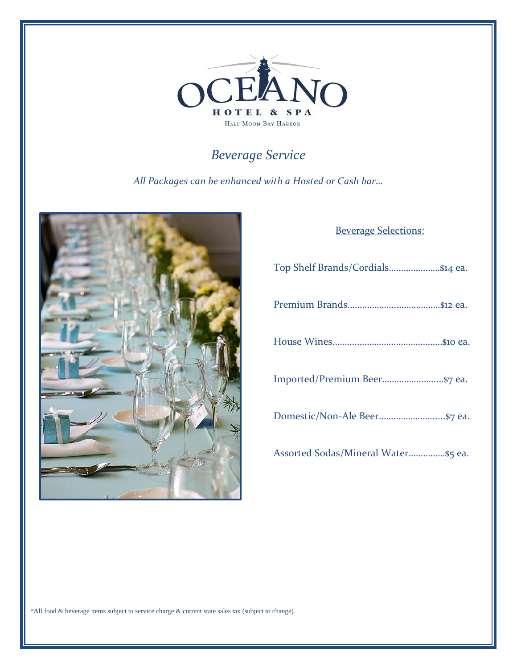

# *Beverage Service*

*All Packages can be enhanced with a Hosted or Cash bar…*



## Beverage Selections:

| Top Shelf Brands/Cordials\$14 ea.   |
|-------------------------------------|
|                                     |
|                                     |
|                                     |
|                                     |
| Assorted Sodas/Mineral Water\$5 ea. |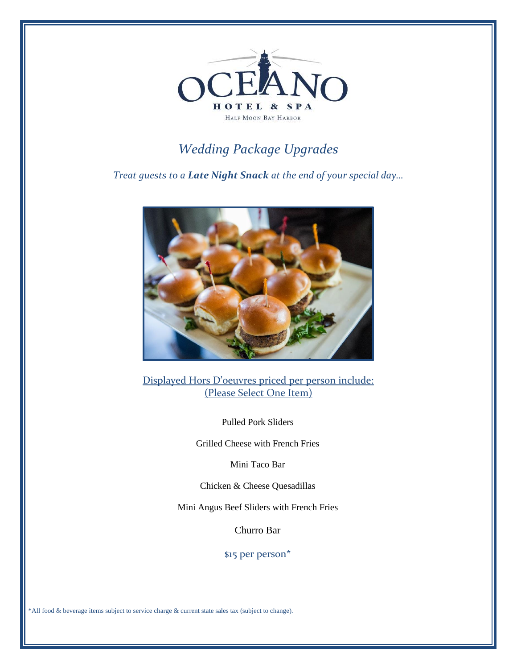

# *Wedding Package Upgrades*

*Treat guests to a Late Night Snack at the end of your special day…*



Displayed Hors D'oeuvres priced per person include: (Please Select One Item)

Pulled Pork Sliders

Grilled Cheese with French Fries

Mini Taco Bar

Chicken & Cheese Quesadillas

Mini Angus Beef Sliders with French Fries

Churro Bar

\$15 per person\*